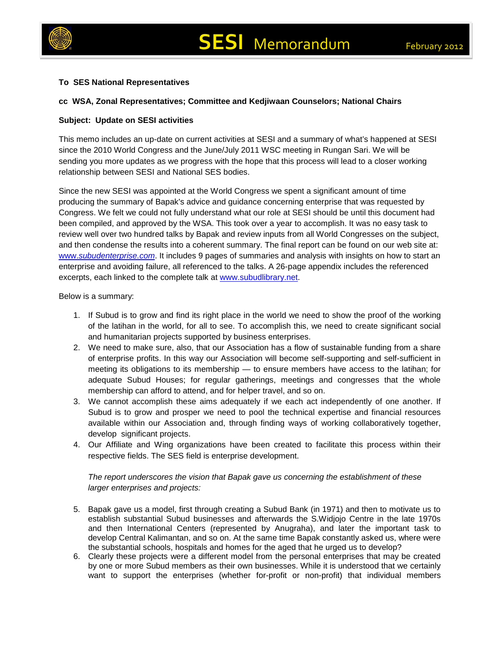



## **To SES National Representatives**

## **cc WSA, Zonal Representatives; Committee and Kedjiwaan Counselors; National Chairs**

## **Subject: Update on SESI activities**

This memo includes an up-date on current activities at SESI and a summary of what's happened at SESI since the 2010 World Congress and the June/July 2011 WSC meeting in Rungan Sari. We will be sending you more updates as we progress with the hope that this process will lead to a closer working relationship between SESI and National SES bodies.

Since the new SESI was appointed at the World Congress we spent a significant amount of time producing the summary of Bapak's advice and guidance concerning enterprise that was requested by Congress. We felt we could not fully understand what our role at SESI should be until this document had been compiled, and approved by the WSA. This took over a year to accomplish. It was no easy task to review well over two hundred talks by Bapak and review inputs from all World Congresses on the subject, and then condense the results into a coherent summary. The final report can be found on our web site at: www.*[subudenterprise.com](http://www.subudenterprise.com/)*. It includes 9 pages of summaries and analysis with insights on how to start an enterprise and avoiding failure, all referenced to the talks. A 26-page appendix includes the referenced excerpts, each linked to the complete talk at [www.subudlibrary.net.](http://www.subudlibrary.net/)

Below is a summary:

- 1. If Subud is to grow and find its right place in the world we need to show the proof of the working of the latihan in the world, for all to see. To accomplish this, we need to create significant social and humanitarian projects supported by business enterprises.
- 2. We need to make sure, also, that our Association has a flow of sustainable funding from a share of enterprise profits. In this way our Association will become self-supporting and self-sufficient in meeting its obligations to its membership — to ensure members have access to the latihan; for adequate Subud Houses; for regular gatherings, meetings and congresses that the whole membership can afford to attend, and for helper travel, and so on.
- 3. We cannot accomplish these aims adequately if we each act independently of one another. If Subud is to grow and prosper we need to pool the technical expertise and financial resources available within our Association and, through finding ways of working collaboratively together, develop significant projects.
- 4. Our Affiliate and Wing organizations have been created to facilitate this process within their respective fields. The SES field is enterprise development.

## *The report underscores the vision that Bapak gave us concerning the establishment of these larger enterprises and projects:*

- 5. Bapak gave us a model, first through creating a Subud Bank (in 1971) and then to motivate us to establish substantial Subud businesses and afterwards the S.Widjojo Centre in the late 1970s and then International Centers (represented by Anugraha), and later the important task to develop Central Kalimantan, and so on. At the same time Bapak constantly asked us, where were the substantial schools, hospitals and homes for the aged that he urged us to develop?
- 6. Clearly these projects were a different model from the personal enterprises that may be created by one or more Subud members as their own businesses. While it is understood that we certainly want to support the enterprises (whether for-profit or non-profit) that individual members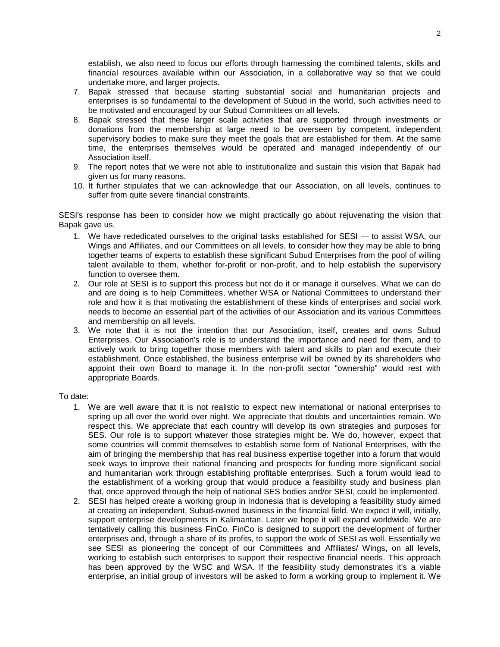establish, we also need to focus our efforts through harnessing the combined talents, skills and financial resources available within our Association, in a collaborative way so that we could undertake more, and larger projects.

- 7. Bapak stressed that because starting substantial social and humanitarian projects and enterprises is so fundamental to the development of Subud in the world, such activities need to be motivated and encouraged by our Subud Committees on all levels.
- 8. Bapak stressed that these larger scale activities that are supported through investments or donations from the membership at large need to be overseen by competent, independent supervisory bodies to make sure they meet the goals that are established for them. At the same time, the enterprises themselves would be operated and managed independently of our Association itself.
- 9. The report notes that we were not able to institutionalize and sustain this vision that Bapak had given us for many reasons.
- 10. It further stipulates that we can acknowledge that our Association, on all levels, continues to suffer from quite severe financial constraints.

SESI's response has been to consider how we might practically go about rejuvenating the vision that Bapak gave us.

- 1. We have rededicated ourselves to the original tasks established for SESI to assist WSA, our Wings and Affiliates, and our Committees on all levels, to consider how they may be able to bring together teams of experts to establish these significant Subud Enterprises from the pool of willing talent available to them, whether for-profit or non-profit, and to help establish the supervisory function to oversee them.
- 2. Our role at SESI is to support this process but not do it or manage it ourselves. What we can do and are doing is to help Committees, whether WSA or National Committees to understand their role and how it is that motivating the establishment of these kinds of enterprises and social work needs to become an essential part of the activities of our Association and its various Committees and membership on all levels.
- 3. We note that it is not the intention that our Association, itself, creates and owns Subud Enterprises. Our Association's role is to understand the importance and need for them, and to actively work to bring together those members with talent and skills to plan and execute their establishment. Once established, the business enterprise will be owned by its shareholders who appoint their own Board to manage it. In the non-profit sector "ownership" would rest with appropriate Boards.

To date:

- 1. We are well aware that it is not realistic to expect new international or national enterprises to spring up all over the world over night. We appreciate that doubts and uncertainties remain. We respect this. We appreciate that each country will develop its own strategies and purposes for SES. Our role is to support whatever those strategies might be. We do, however, expect that some countries will commit themselves to establish some form of National Enterprises, with the aim of bringing the membership that has real business expertise together into a forum that would seek ways to improve their national financing and prospects for funding more significant social and humanitarian work through establishing profitable enterprises. Such a forum would lead to the establishment of a working group that would produce a feasibility study and business plan that, once approved through the help of national SES bodies and/or SESI, could be implemented.
- 2. SESI has helped create a working group in Indonesia that is developing a feasibility study aimed at creating an independent, Subud-owned business in the financial field. We expect it will, initially, support enterprise developments in Kalimantan. Later we hope it will expand worldwide. We are tentatively calling this business FinCo. FinCo is designed to support the development of further enterprises and, through a share of its profits, to support the work of SESI as well. Essentially we see SESI as pioneering the concept of our Committees and Affiliates/ Wings, on all levels, working to establish such enterprises to support their respective financial needs. This approach has been approved by the WSC and WSA. If the feasibility study demonstrates it's a viable enterprise, an initial group of investors will be asked to form a working group to implement it. We